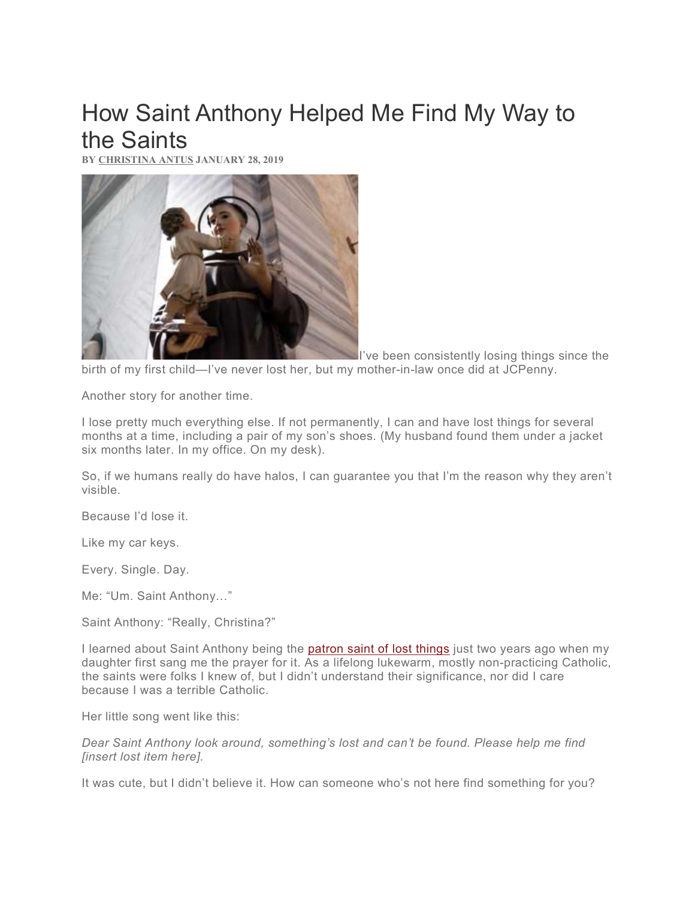## How Saint Anthony Helped Me Find My Way to the Saints

BY CHRISTINA ANTUS JANUARY 28, 2019



I've been consistently losing things since the birth of my first child—I've never lost her, but my mother-in-law once did at JCPenny.

Another story for another time.

I lose pretty much everything else. If not permanently, I can and have lost things for several months at a time, including a pair of my son's shoes. (My husband found them under a jacket six months later. In my office. On my desk).

So, if we humans really do have halos, I can guarantee you that I'm the reason why they aren't visible.

Because I'd lose it.

Like my car keys.

Every. Single. Day.

Me: "Um. Saint Anthony…"

Saint Anthony: "Really, Christina?"

I learned about Saint Anthony being the patron saint of lost things just two years ago when my daughter first sang me the prayer for it. As a lifelong lukewarm, mostly non-practicing Catholic, the saints were folks I knew of, but I didn't understand their significance, nor did I care because I was a terrible Catholic.

Her little song went like this:

Dear Saint Anthony look around, something's lost and can't be found. Please help me find [insert lost item here].

It was cute, but I didn't believe it. How can someone who's not here find something for you?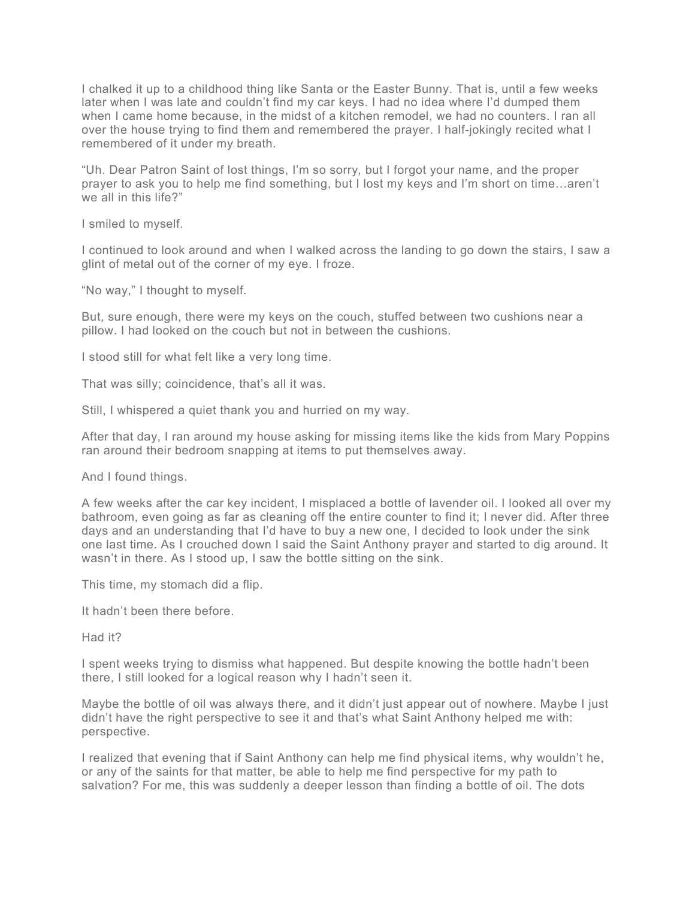I chalked it up to a childhood thing like Santa or the Easter Bunny. That is, until a few weeks later when I was late and couldn't find my car keys. I had no idea where I'd dumped them when I came home because, in the midst of a kitchen remodel, we had no counters. I ran all over the house trying to find them and remembered the prayer. I half-jokingly recited what I remembered of it under my breath.

"Uh. Dear Patron Saint of lost things, I'm so sorry, but I forgot your name, and the proper prayer to ask you to help me find something, but I lost my keys and I'm short on time…aren't we all in this life?"

I smiled to myself.

I continued to look around and when I walked across the landing to go down the stairs, I saw a glint of metal out of the corner of my eye. I froze.

"No way," I thought to myself.

But, sure enough, there were my keys on the couch, stuffed between two cushions near a pillow. I had looked on the couch but not in between the cushions.

I stood still for what felt like a very long time.

That was silly; coincidence, that's all it was.

Still, I whispered a quiet thank you and hurried on my way.

After that day, I ran around my house asking for missing items like the kids from Mary Poppins ran around their bedroom snapping at items to put themselves away.

And I found things.

A few weeks after the car key incident, I misplaced a bottle of lavender oil. I looked all over my bathroom, even going as far as cleaning off the entire counter to find it; I never did. After three days and an understanding that I'd have to buy a new one, I decided to look under the sink one last time. As I crouched down I said the Saint Anthony prayer and started to dig around. It wasn't in there. As I stood up, I saw the bottle sitting on the sink.

This time, my stomach did a flip.

It hadn't been there before.

Had it?

I spent weeks trying to dismiss what happened. But despite knowing the bottle hadn't been there, I still looked for a logical reason why I hadn't seen it.

Maybe the bottle of oil was always there, and it didn't just appear out of nowhere. Maybe I just didn't have the right perspective to see it and that's what Saint Anthony helped me with: perspective.

I realized that evening that if Saint Anthony can help me find physical items, why wouldn't he, or any of the saints for that matter, be able to help me find perspective for my path to salvation? For me, this was suddenly a deeper lesson than finding a bottle of oil. The dots